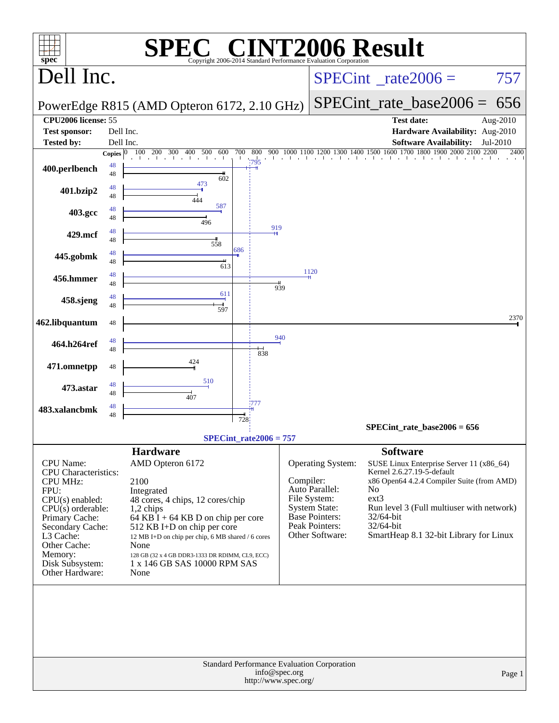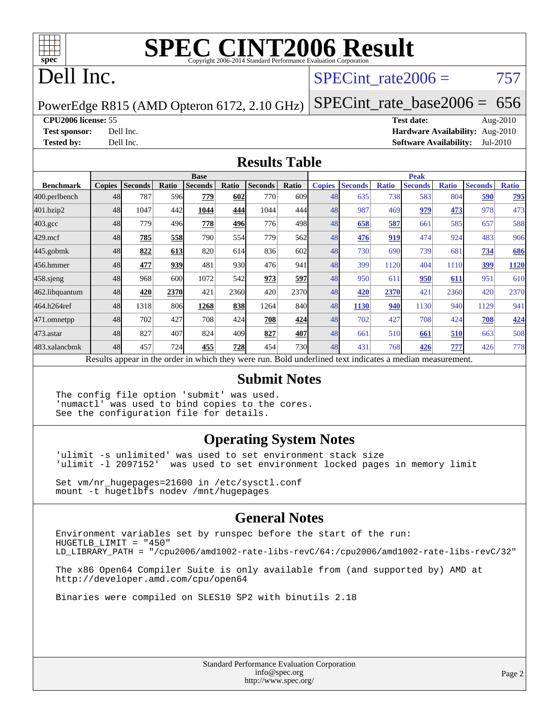

# **[SPEC CINT2006 Result](http://www.spec.org/auto/cpu2006/Docs/result-fields.html#SPECCINT2006Result)**

## Dell Inc.

#### SPECint rate $2006 = 757$

PowerEdge R815 (AMD Opteron 6172, 2.10 GHz)

[SPECint\\_rate\\_base2006 =](http://www.spec.org/auto/cpu2006/Docs/result-fields.html#SPECintratebase2006) 656

#### **[CPU2006 license:](http://www.spec.org/auto/cpu2006/Docs/result-fields.html#CPU2006license)** 55 **[Test date:](http://www.spec.org/auto/cpu2006/Docs/result-fields.html#Testdate)** Aug-2010

**[Test sponsor:](http://www.spec.org/auto/cpu2006/Docs/result-fields.html#Testsponsor)** Dell Inc. **[Hardware Availability:](http://www.spec.org/auto/cpu2006/Docs/result-fields.html#HardwareAvailability)** Aug-2010 **[Tested by:](http://www.spec.org/auto/cpu2006/Docs/result-fields.html#Testedby)** Dell Inc. **[Software Availability:](http://www.spec.org/auto/cpu2006/Docs/result-fields.html#SoftwareAvailability)** Jul-2010

#### **[Results Table](http://www.spec.org/auto/cpu2006/Docs/result-fields.html#ResultsTable)**

|                    | <b>Base</b>   |                                                                                                          |       |                |            |                |                  |               | <b>Peak</b>    |              |                |              |                |              |  |
|--------------------|---------------|----------------------------------------------------------------------------------------------------------|-------|----------------|------------|----------------|------------------|---------------|----------------|--------------|----------------|--------------|----------------|--------------|--|
| <b>Benchmark</b>   | <b>Copies</b> | <b>Seconds</b>                                                                                           | Ratio | <b>Seconds</b> | Ratio      | <b>Seconds</b> | Ratio            | <b>Copies</b> | <b>Seconds</b> | <b>Ratio</b> | <b>Seconds</b> | <b>Ratio</b> | <b>Seconds</b> | <b>Ratio</b> |  |
| 400.perlbench      | 48            | 787                                                                                                      | 596   | 779            | 602        | 770            | 609 <sub>l</sub> | 48            | 635            | 738          | 583            | 804          | 590            | <u>795</u>   |  |
| 401.bzip2          | 48            | 1047                                                                                                     | 442   | 1044           | 444        | 1044           | 444              | 48            | 987            | 469          | 979            | 473          | 978            | 473          |  |
| $403.\mathrm{gcc}$ | 48            | 779                                                                                                      | 496   | 778            | 496        | 776            | 498              | 48            | 658            | 587          | 661            | 585          | 657            | 588          |  |
| $429$ .mcf         | 48            | 785                                                                                                      | 558   | 790            | 554        | 779            | 562 <sub>l</sub> | 48            | 476            | 919          | 474            | 924          | 483            | 906          |  |
| $445$ .gobmk       | 48            | 822                                                                                                      | 613   | 820            | 614        | 836            | 602l             | 48            | 730            | 690          | 739            | 681          | 734            | 686          |  |
| 456.hmmer          | 48            | 477                                                                                                      | 939   | 481            | <b>930</b> | 476            | 941              | 48            | 399            | 1120         | 404            | 1110         | 399            | <b>1120</b>  |  |
| $458$ .sjeng       | 48            | 968                                                                                                      | 600   | 1072           | 542        | 973            | 597              | 48            | 950            | 611          | 950            | 611          | 951            | 610          |  |
| 462.libquantum     | 48            | 420                                                                                                      | 2370  | 421            | 2360       | 420            | 2370             | 48            | 420            | 2370         | 421            | 2360         | 420            | 2370         |  |
| 464.h264ref        | 48            | 1318                                                                                                     | 806   | 1268           | 838        | 1264           | 840l             | 48            | 1130           | 940          | 1130           | 940          | 1129           | 941          |  |
| 471.omnetpp        | 48            | 702                                                                                                      | 427   | 708            | 424        | 708            | 424              | 48            | 702            | 427          | 708            | 424          | 708            | 424          |  |
| 473.astar          | 48            | 827                                                                                                      | 407   | 824            | 409        | 827            | 407              | 48            | 661            | 510          | 661            | 510          | 663            | 508          |  |
| 483.xalancbmk      | 48            | 457                                                                                                      | 724   | 455            | 728        | 454            | 730 <b>I</b>     | 48            | 431            | 768          | 426            | 777          | 426            | 778          |  |
|                    |               | Results appear in the order in which they were run. Bold underlined text indicates a median measurement. |       |                |            |                |                  |               |                |              |                |              |                |              |  |

#### **[Submit Notes](http://www.spec.org/auto/cpu2006/Docs/result-fields.html#SubmitNotes)**

The config file option 'submit' was used. 'numactl' was used to bind copies to the cores. See the configuration file for details.

#### **[Operating System Notes](http://www.spec.org/auto/cpu2006/Docs/result-fields.html#OperatingSystemNotes)**

'ulimit -s unlimited' was used to set environment stack size 'ulimit -l 2097152' was used to set environment locked pages in memory limit

Set vm/nr\_hugepages=21600 in /etc/sysctl.conf mount -t hugetlbfs nodev /mnt/hugepages

#### **[General Notes](http://www.spec.org/auto/cpu2006/Docs/result-fields.html#GeneralNotes)**

Environment variables set by runspec before the start of the run: HUGETLB\_LIMIT = "450" LD\_LIBRARY\_PATH = "/cpu2006/amd1002-rate-libs-revC/64:/cpu2006/amd1002-rate-libs-revC/32"

The x86 Open64 Compiler Suite is only available from (and supported by) AMD at <http://developer.amd.com/cpu/open64>

Binaries were compiled on SLES10 SP2 with binutils 2.18

Standard Performance Evaluation Corporation [info@spec.org](mailto:info@spec.org) <http://www.spec.org/>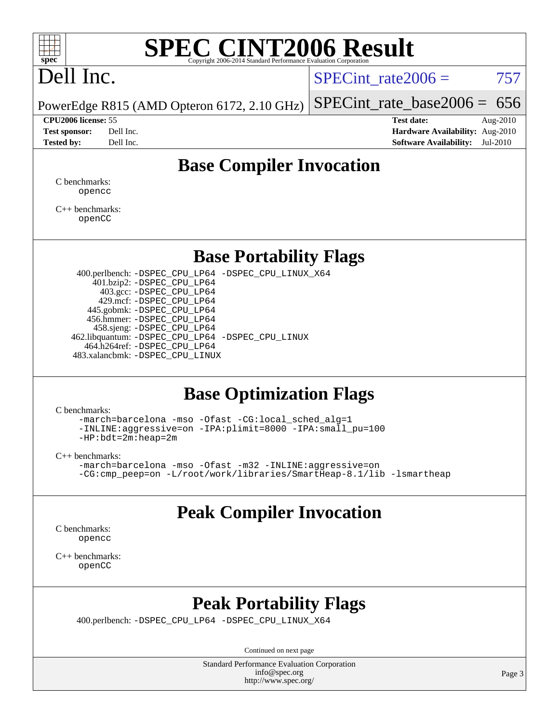

# **[SPEC CINT2006 Result](http://www.spec.org/auto/cpu2006/Docs/result-fields.html#SPECCINT2006Result)**

# Dell Inc.

SPECint rate $2006 = 757$ 

PowerEdge R815 (AMD Opteron 6172, 2.10 GHz) [SPECint\\_rate\\_base2006 =](http://www.spec.org/auto/cpu2006/Docs/result-fields.html#SPECintratebase2006)  $656$ 

**[CPU2006 license:](http://www.spec.org/auto/cpu2006/Docs/result-fields.html#CPU2006license)** 55 **[Test date:](http://www.spec.org/auto/cpu2006/Docs/result-fields.html#Testdate)** Aug-2010 **[Test sponsor:](http://www.spec.org/auto/cpu2006/Docs/result-fields.html#Testsponsor)** Dell Inc. **[Hardware Availability:](http://www.spec.org/auto/cpu2006/Docs/result-fields.html#HardwareAvailability)** Aug-2010 **[Tested by:](http://www.spec.org/auto/cpu2006/Docs/result-fields.html#Testedby)** Dell Inc. **[Software Availability:](http://www.spec.org/auto/cpu2006/Docs/result-fields.html#SoftwareAvailability)** Jul-2010

### **[Base Compiler Invocation](http://www.spec.org/auto/cpu2006/Docs/result-fields.html#BaseCompilerInvocation)**

[C benchmarks](http://www.spec.org/auto/cpu2006/Docs/result-fields.html#Cbenchmarks): [opencc](http://www.spec.org/cpu2006/results/res2010q3/cpu2006-20100914-13274.flags.html#user_CCbase_Fopencc)

[C++ benchmarks:](http://www.spec.org/auto/cpu2006/Docs/result-fields.html#CXXbenchmarks) [openCC](http://www.spec.org/cpu2006/results/res2010q3/cpu2006-20100914-13274.flags.html#user_CXXbase_FopenCC)

#### **[Base Portability Flags](http://www.spec.org/auto/cpu2006/Docs/result-fields.html#BasePortabilityFlags)**

 400.perlbench: [-DSPEC\\_CPU\\_LP64](http://www.spec.org/cpu2006/results/res2010q3/cpu2006-20100914-13274.flags.html#b400.perlbench_basePORTABILITY_DSPEC_CPU_LP64) [-DSPEC\\_CPU\\_LINUX\\_X64](http://www.spec.org/cpu2006/results/res2010q3/cpu2006-20100914-13274.flags.html#b400.perlbench_baseCPORTABILITY_DSPEC_CPU_LINUX_X64) 401.bzip2: [-DSPEC\\_CPU\\_LP64](http://www.spec.org/cpu2006/results/res2010q3/cpu2006-20100914-13274.flags.html#suite_basePORTABILITY401_bzip2_DSPEC_CPU_LP64) 403.gcc: [-DSPEC\\_CPU\\_LP64](http://www.spec.org/cpu2006/results/res2010q3/cpu2006-20100914-13274.flags.html#suite_basePORTABILITY403_gcc_DSPEC_CPU_LP64) 429.mcf: [-DSPEC\\_CPU\\_LP64](http://www.spec.org/cpu2006/results/res2010q3/cpu2006-20100914-13274.flags.html#suite_basePORTABILITY429_mcf_DSPEC_CPU_LP64) 445.gobmk: [-DSPEC\\_CPU\\_LP64](http://www.spec.org/cpu2006/results/res2010q3/cpu2006-20100914-13274.flags.html#suite_basePORTABILITY445_gobmk_DSPEC_CPU_LP64) 456.hmmer: [-DSPEC\\_CPU\\_LP64](http://www.spec.org/cpu2006/results/res2010q3/cpu2006-20100914-13274.flags.html#suite_basePORTABILITY456_hmmer_DSPEC_CPU_LP64) 458.sjeng: [-DSPEC\\_CPU\\_LP64](http://www.spec.org/cpu2006/results/res2010q3/cpu2006-20100914-13274.flags.html#suite_basePORTABILITY458_sjeng_DSPEC_CPU_LP64) 462.libquantum: [-DSPEC\\_CPU\\_LP64](http://www.spec.org/cpu2006/results/res2010q3/cpu2006-20100914-13274.flags.html#suite_basePORTABILITY462_libquantum_DSPEC_CPU_LP64) [-DSPEC\\_CPU\\_LINUX](http://www.spec.org/cpu2006/results/res2010q3/cpu2006-20100914-13274.flags.html#b462.libquantum_baseCPORTABILITY_DSPEC_CPU_LINUX) 464.h264ref: [-DSPEC\\_CPU\\_LP64](http://www.spec.org/cpu2006/results/res2010q3/cpu2006-20100914-13274.flags.html#suite_basePORTABILITY464_h264ref_DSPEC_CPU_LP64) 483.xalancbmk: [-DSPEC\\_CPU\\_LINUX](http://www.spec.org/cpu2006/results/res2010q3/cpu2006-20100914-13274.flags.html#b483.xalancbmk_baseCXXPORTABILITY_DSPEC_CPU_LINUX)

#### **[Base Optimization Flags](http://www.spec.org/auto/cpu2006/Docs/result-fields.html#BaseOptimizationFlags)**

[C benchmarks](http://www.spec.org/auto/cpu2006/Docs/result-fields.html#Cbenchmarks):

[-march=barcelona](http://www.spec.org/cpu2006/results/res2010q3/cpu2006-20100914-13274.flags.html#user_CCbase_F-march_8ea39521cada96f307a04d0b8b9c6ffb) [-mso](http://www.spec.org/cpu2006/results/res2010q3/cpu2006-20100914-13274.flags.html#user_CCbase_F-mso) [-Ofast](http://www.spec.org/cpu2006/results/res2010q3/cpu2006-20100914-13274.flags.html#user_CCbase_F-Ofast) [-CG:local\\_sched\\_alg=1](http://www.spec.org/cpu2006/results/res2010q3/cpu2006-20100914-13274.flags.html#user_CCbase_F-CG:local_sched_alg_2175ca61f1a2717f1ec57b14995b9e7a) [-INLINE:aggressive=on](http://www.spec.org/cpu2006/results/res2010q3/cpu2006-20100914-13274.flags.html#user_CCbase_F-INLINE:aggressive_e14807c0a1e56a6a83cb25ab07c7ae8a) [-IPA:plimit=8000](http://www.spec.org/cpu2006/results/res2010q3/cpu2006-20100914-13274.flags.html#user_CCbase_F-IPA:plimit_92cba83f3d47f09c7d5368fda93ddbd7) [-IPA:small\\_pu=100](http://www.spec.org/cpu2006/results/res2010q3/cpu2006-20100914-13274.flags.html#user_CCbase_F-IPA:small_pu_900a09767c6929d55c26ea3d32399996) [-HP:bdt=2m:heap=2m](http://www.spec.org/cpu2006/results/res2010q3/cpu2006-20100914-13274.flags.html#user_CCbase_F-HUGEPAGE_855e97383b49831f390a2af16fe7202f)

[C++ benchmarks:](http://www.spec.org/auto/cpu2006/Docs/result-fields.html#CXXbenchmarks)

[-march=barcelona](http://www.spec.org/cpu2006/results/res2010q3/cpu2006-20100914-13274.flags.html#user_CXXbase_F-march_8ea39521cada96f307a04d0b8b9c6ffb) [-mso](http://www.spec.org/cpu2006/results/res2010q3/cpu2006-20100914-13274.flags.html#user_CXXbase_F-mso) [-Ofast](http://www.spec.org/cpu2006/results/res2010q3/cpu2006-20100914-13274.flags.html#user_CXXbase_F-Ofast) [-m32](http://www.spec.org/cpu2006/results/res2010q3/cpu2006-20100914-13274.flags.html#user_CXXbase_F-m32) [-INLINE:aggressive=on](http://www.spec.org/cpu2006/results/res2010q3/cpu2006-20100914-13274.flags.html#user_CXXbase_F-INLINE:aggressive_e14807c0a1e56a6a83cb25ab07c7ae8a) [-CG:cmp\\_peep=on](http://www.spec.org/cpu2006/results/res2010q3/cpu2006-20100914-13274.flags.html#user_CXXbase_F-CG:cmp_peep_ab90c979e95bee1f1f617a32622424ed) [-L/root/work/libraries/SmartHeap-8.1/lib -lsmartheap](http://www.spec.org/cpu2006/results/res2010q3/cpu2006-20100914-13274.flags.html#user_CXXbase_F-L_lib_directory_lsmartheap_9ab549d8336b8b0ffe7b94e3ae706265)

## **[Peak Compiler Invocation](http://www.spec.org/auto/cpu2006/Docs/result-fields.html#PeakCompilerInvocation)**

[C benchmarks](http://www.spec.org/auto/cpu2006/Docs/result-fields.html#Cbenchmarks): [opencc](http://www.spec.org/cpu2006/results/res2010q3/cpu2006-20100914-13274.flags.html#user_CCpeak_Fopencc)

[C++ benchmarks:](http://www.spec.org/auto/cpu2006/Docs/result-fields.html#CXXbenchmarks) [openCC](http://www.spec.org/cpu2006/results/res2010q3/cpu2006-20100914-13274.flags.html#user_CXXpeak_FopenCC)

### **[Peak Portability Flags](http://www.spec.org/auto/cpu2006/Docs/result-fields.html#PeakPortabilityFlags)**

400.perlbench: [-DSPEC\\_CPU\\_LP64](http://www.spec.org/cpu2006/results/res2010q3/cpu2006-20100914-13274.flags.html#b400.perlbench_peakPORTABILITY_DSPEC_CPU_LP64) [-DSPEC\\_CPU\\_LINUX\\_X64](http://www.spec.org/cpu2006/results/res2010q3/cpu2006-20100914-13274.flags.html#b400.perlbench_peakCPORTABILITY_DSPEC_CPU_LINUX_X64)

Continued on next page

Standard Performance Evaluation Corporation [info@spec.org](mailto:info@spec.org) <http://www.spec.org/>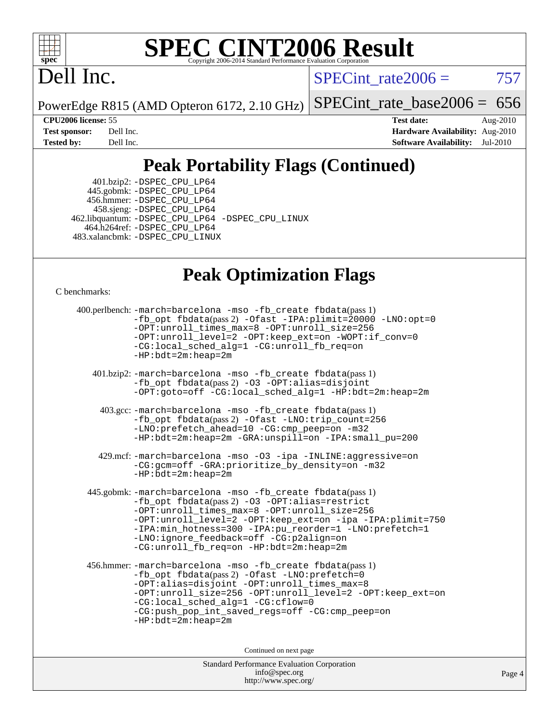

# **[SPEC CINT2006 Result](http://www.spec.org/auto/cpu2006/Docs/result-fields.html#SPECCINT2006Result)**

# Dell Inc.

 $SPECTnt_rate2006 = 757$ 

PowerEdge R815 (AMD Opteron 6172, 2.10 GHz) [SPECint\\_rate\\_base2006 =](http://www.spec.org/auto/cpu2006/Docs/result-fields.html#SPECintratebase2006)  $656$ 

**[CPU2006 license:](http://www.spec.org/auto/cpu2006/Docs/result-fields.html#CPU2006license)** 55 **[Test date:](http://www.spec.org/auto/cpu2006/Docs/result-fields.html#Testdate)** Aug-2010 **[Test sponsor:](http://www.spec.org/auto/cpu2006/Docs/result-fields.html#Testsponsor)** Dell Inc. **[Hardware Availability:](http://www.spec.org/auto/cpu2006/Docs/result-fields.html#HardwareAvailability)** Aug-2010 **[Tested by:](http://www.spec.org/auto/cpu2006/Docs/result-fields.html#Testedby)** Dell Inc. **[Software Availability:](http://www.spec.org/auto/cpu2006/Docs/result-fields.html#SoftwareAvailability)** Jul-2010

## **[Peak Portability Flags \(Continued\)](http://www.spec.org/auto/cpu2006/Docs/result-fields.html#PeakPortabilityFlags)**

 401.bzip2: [-DSPEC\\_CPU\\_LP64](http://www.spec.org/cpu2006/results/res2010q3/cpu2006-20100914-13274.flags.html#suite_peakPORTABILITY401_bzip2_DSPEC_CPU_LP64) 445.gobmk: [-DSPEC\\_CPU\\_LP64](http://www.spec.org/cpu2006/results/res2010q3/cpu2006-20100914-13274.flags.html#suite_peakPORTABILITY445_gobmk_DSPEC_CPU_LP64) 456.hmmer: [-DSPEC\\_CPU\\_LP64](http://www.spec.org/cpu2006/results/res2010q3/cpu2006-20100914-13274.flags.html#suite_peakPORTABILITY456_hmmer_DSPEC_CPU_LP64) 458.sjeng: [-DSPEC\\_CPU\\_LP64](http://www.spec.org/cpu2006/results/res2010q3/cpu2006-20100914-13274.flags.html#suite_peakPORTABILITY458_sjeng_DSPEC_CPU_LP64) 462.libquantum: [-DSPEC\\_CPU\\_LP64](http://www.spec.org/cpu2006/results/res2010q3/cpu2006-20100914-13274.flags.html#suite_peakPORTABILITY462_libquantum_DSPEC_CPU_LP64) [-DSPEC\\_CPU\\_LINUX](http://www.spec.org/cpu2006/results/res2010q3/cpu2006-20100914-13274.flags.html#b462.libquantum_peakCPORTABILITY_DSPEC_CPU_LINUX) 464.h264ref: [-DSPEC\\_CPU\\_LP64](http://www.spec.org/cpu2006/results/res2010q3/cpu2006-20100914-13274.flags.html#suite_peakPORTABILITY464_h264ref_DSPEC_CPU_LP64) 483.xalancbmk: [-DSPEC\\_CPU\\_LINUX](http://www.spec.org/cpu2006/results/res2010q3/cpu2006-20100914-13274.flags.html#b483.xalancbmk_peakCXXPORTABILITY_DSPEC_CPU_LINUX)

### **[Peak Optimization Flags](http://www.spec.org/auto/cpu2006/Docs/result-fields.html#PeakOptimizationFlags)**

[C benchmarks](http://www.spec.org/auto/cpu2006/Docs/result-fields.html#Cbenchmarks):

```
Standard Performance Evaluation Corporation
400.perlbench: -march=barcelona -mso -fb_create fbdata(pass 1)
          -fb_opt fbdata(pass 2) -Ofast -IPA:plimit=20000 -LNO:opt=0
          -OPT:unroll_times_max=8 -OPT:unroll_size=256
          -OPT:unroll_level=2 -OPT:keep_ext=on -WOPT:if_conv=0
          -CG:local_sched_alg=1 -CG:unroll_fb_req=on
          -HP:bdt=2m:heap=2m
   401.bzip2: -march=barcelona -mso -fb_create fbdata(pass 1)
          -fb_opt fbdata(pass 2) -O3 -OPT:alias=disjoint
          -OPT:goto=off -CG:local_sched_alg=1 -HP:bdt=2m:heap=2m
    403.gcc: -march=barcelona -mso -fb_create fbdata(pass 1)
          -fb_opt fbdata(pass 2) -Ofast -LNO:trip_count=256
          -LNO:prefetch_ahead=10 -CG:cmp_peep=on -m32
          -HP:bdt=2m:heap=2m -GRA:unspill=on -IPA:small_pu=200
    429.mcf: -march=barcelona -mso -O3 -ipa -INLINE:aggressive=on
          -CG:gcm=off -GRA:prioritize_by_density=on -m32
          -HP:bdt=2m:heap=2m
  445.gobmk: -march=barcelona -mso -fb_create fbdata(pass 1)
          -fb_opt fbdata(pass 2) -O3 -OPT:alias=restrict
          -OPT:unroll_times_max=8 -OPT:unroll_size=256
          -OPT:unroll_level=2 -OPT:keep_ext=on -ipa -IPA:plimit=750
          -IPA:min_hotness=300-IPA:pu_reorder=1-LNO:prefetch=1
          -LNO:ignore_feedback=off -CG:p2align=on
          -CG:unroll_fb_req=on -HP:bdt=2m:heap=2m
 456.hmmer: -march=barcelona -mso -fb_create fbdata(pass 1)
          -fb_opt fbdata(pass 2) -Ofast -LNO:prefetch=0
          -OPT:alias=disjoint -OPT:unroll_times_max=8
          -OPT:unroll_size=256 -OPT:unroll_level=2 -OPT:keep_ext=on
          -CG:local_sched_alg=1 -CG:cflow=0
          -CG:push_pop_int_saved_regs=off -CG:cmp_peep=on
          -HP:bdt=2m:heap=2m
                               Continued on next page
```
[info@spec.org](mailto:info@spec.org) <http://www.spec.org/>